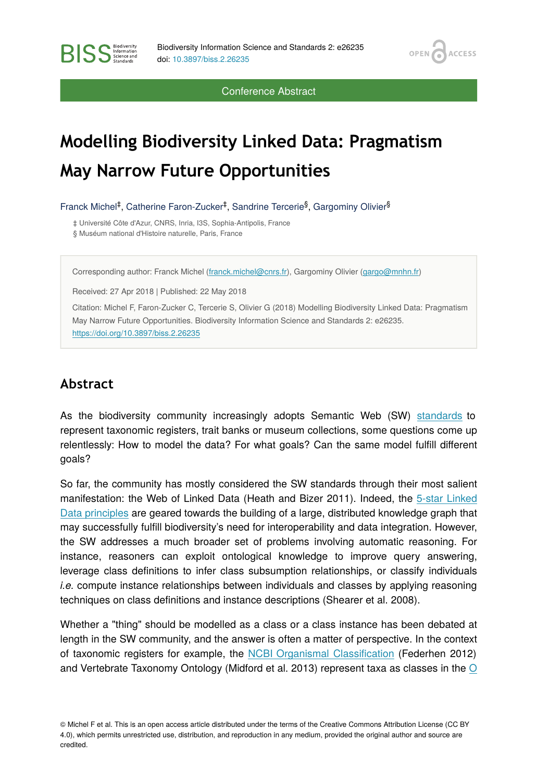OPEN<sub>6</sub>

**ACCESS** 

Conference Abstract

# **Modelling Biodiversity Linked Data: Pragmatism May Narrow Future Opportunities**

Franck Michel<sup>‡</sup>, Catherine Faron-Zucker<sup>‡</sup>, Sandrine Tercerie<sup>§</sup>, Gargominy Olivier<sup>§</sup>

‡ Université Côte d'Azur, CNRS, Inria, I3S, Sophia-Antipolis, France § Muséum national d'Histoire naturelle, Paris, France

Corresponding author: Franck Michel ([franck.michel@cnrs.fr\)](mailto:franck.michel@cnrs.fr), Gargominy Olivier ([gargo@mnhn.fr\)](mailto:gargo@mnhn.fr)

Received: 27 Apr 2018 | Published: 22 May 2018

Citation: Michel F, Faron-Zucker C, Tercerie S, Olivier G (2018) Modelling Biodiversity Linked Data: Pragmatism May Narrow Future Opportunities. Biodiversity Information Science and Standards 2: e26235. <https://doi.org/10.3897/biss.2.26235>

#### **Abstract**

**BISS** Steince and

As the biodiversity community increasingly adopts Semantic Web (SW) [standards](http://www.w3.org/standards/semanticweb/) to represent taxonomic registers, trait banks or museum collections, some questions come up relentlessly: How to model the data? For what goals? Can the same model fulfill different goals?

So far, the community has mostly considered the SW standards through their most salient manifestation: the Web of Linked Data (Heath and Bizer 2011). Indeed, the [5-star Linked](http://5stardata.info/en/) [Data principles](http://5stardata.info/en/) are geared towards the building of a large, distributed knowledge graph that may successfully fulfill biodiversity's need for interoperability and data integration. However, the SW addresses a much broader set of problems involving automatic reasoning. For instance, reasoners can exploit ontological knowledge to improve query answering, leverage class definitions to infer class subsumption relationships, or classify individuals *i.e.* compute instance relationships between individuals and classes by applying reasoning techniques on class definitions and instance descriptions (Shearer et al. 2008).

Whether a "thing" should be modelled as a class or a class instance has been debated at length in the SW community, and the answer is often a matter of perspective. In the context of taxonomic registers for example, the [NCBI Organismal Classi](http://bioportal.bioontology.org/ontologies/NCBITAXON/)fication (Federhen 2012) and Vertebrate Taxonomy [O](https://www.w3.org/TR/2012/REC-owl2-rdf-based-semantics-20121211/)ntology (Midford et al. 2013) represent taxa as classes in the  $O$ 

<sup>©</sup> Michel F et al. This is an open access article distributed under the terms of the Creative Commons Attribution License (CC BY 4.0), which permits unrestricted use, distribution, and reproduction in any medium, provided the original author and source are credited.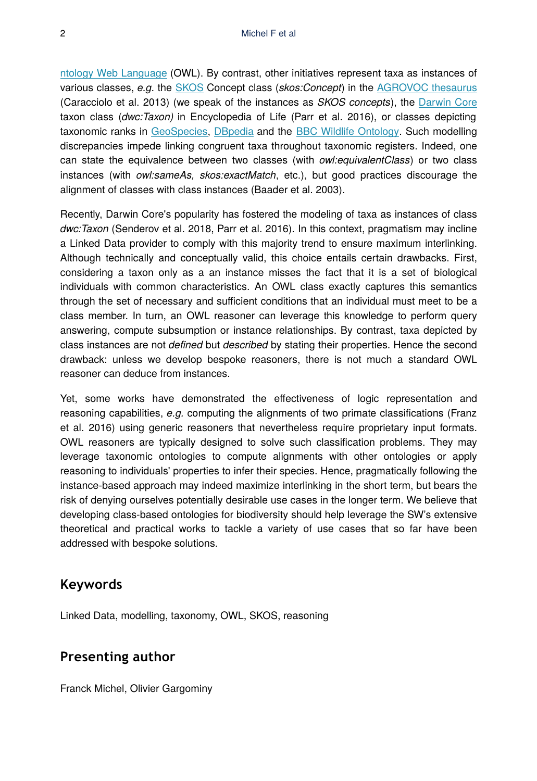[ntology Web Language](https://www.w3.org/TR/2012/REC-owl2-rdf-based-semantics-20121211/) (OWL). By contrast, other initiatives represent taxa as instances of various classes, *e.g.* the [SKOS](http://www.w3.org/2009/08/skos-reference/skos.html) Concept class (*skos:Concept*) in the [AGROVOC thesaurus](http://aims.fao.org/vest-registry/vocabularies/agrovoc-multilingual-agricultural-thesaurus) (Caracciolo et al. 2013) (we speak of the instances as *SKOS concepts*), the [Darwin Core](http://rs.tdwg.org/dwc/terms/guides/rdf/index.htm) taxon class (*dwc:Taxon)* in Encyclopedia of Life (Parr et al. 2016), or classes depicting taxonomic ranks in [GeoSpecies,](https://bioportal.bioontology.org/ontologies/GEOSPECIES) [DBpedia](http://dbpedia.org/) and the [BBC Wildlife Ontology](http://www.bbc.co.uk/ontologies/wo). Such modelling discrepancies impede linking congruent taxa throughout taxonomic registers. Indeed, one can state the equivalence between two classes (with *owl:equivalentClass*) or two class instances (with *owl:sameAs, skos:exactMatch*, etc.), but good practices discourage the alignment of classes with class instances (Baader et al. 2003).

Recently, Darwin Core's popularity has fostered the modeling of taxa as instances of class *dwc:Taxon* (Senderov et al. 2018, Parr et al. 2016). In this context, pragmatism may incline a Linked Data provider to comply with this majority trend to ensure maximum interlinking. Although technically and conceptually valid, this choice entails certain drawbacks. First, considering a taxon only as a an instance misses the fact that it is a set of biological individuals with common characteristics. An OWL class exactly captures this semantics through the set of necessary and sufficient conditions that an individual must meet to be a class member. In turn, an OWL reasoner can leverage this knowledge to perform query answering, compute subsumption or instance relationships. By contrast, taxa depicted by class instances are not *defined* but *described* by stating their properties. Hence the second drawback: unless we develop bespoke reasoners, there is not much a standard OWL reasoner can deduce from instances.

Yet, some works have demonstrated the effectiveness of logic representation and reasoning capabilities, *e.g.* computing the alignments of two primate classifications (Franz et al. 2016) using generic reasoners that nevertheless require proprietary input formats. OWL reasoners are typically designed to solve such classification problems. They may leverage taxonomic ontologies to compute alignments with other ontologies or apply reasoning to individuals' properties to infer their species. Hence, pragmatically following the instance-based approach may indeed maximize interlinking in the short term, but bears the risk of denying ourselves potentially desirable use cases in the longer term. We believe that developing class-based ontologies for biodiversity should help leverage the SW's extensive theoretical and practical works to tackle a variety of use cases that so far have been addressed with bespoke solutions.

#### **Keywords**

Linked Data, modelling, taxonomy, OWL, SKOS, reasoning

### **Presenting author**

Franck Michel, Olivier Gargominy